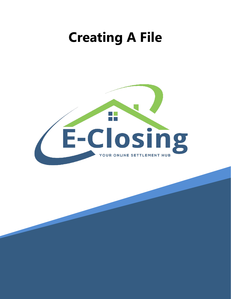## **Creating A File**

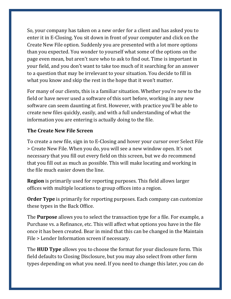So, your company has taken on a new order for a client and has asked you to enter it in E-Closing. You sit down in front of your computer and click on the Create New File option. Suddenly you are presented with a lot more options than you expected. You wonder to yourself what some of the options on the page even mean, but aren't sure who to ask to find out. Time is important in your field, and you don't want to take too much of it searching for an answer to a question that may be irrelevant to your situation. You decide to fill in what you know and skip the rest in the hope that it won't matter.

For many of our clients, this is a familiar situation. Whether you're new to the field or have never used a software of this sort before, working in any new software can seem daunting at first. However, with practice you'll be able to create new files quickly, easily, and with a full understanding of what the information you are entering is actually doing to the file.

## **The Create New File Screen**

To create a new file, sign in to E-Closing and hover your cursor over Select File > Create New File. When you do, you will see a new window open. It's not necessary that you fill out every field on this screen, but we do recommend that you fill out as much as possible. This will make locating and working in the file much easier down the line.

**Region** is primarily used for reporting purposes. This field allows larger offices with multiple locations to group offices into a region.

**Order Type** is primarily for reporting purposes. Each company can customize these types in the Back Office.

The **Purpose** allows you to select the transaction type for a file. For example, a Purchase vs. a Refinance, etc. This will affect what options you have in the file once it has been created. Bear in mind that this can be changed in the Maintain File > Lender Information screen if necessary.

The **HUD Type** allows you to choose the format for your disclosure form. This field defaults to Closing Disclosure, but you may also select from other form types depending on what you need. If you need to change this later, you can do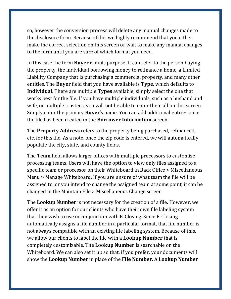so, however the conversion process will delete any manual changes made to the disclosure form. Because of this we highly recommend that you either make the correct selection on this screen or wait to make any manual changes to the form until you are sure of which format you need.

In this case the term **Buyer** is multipurpose. It can refer to the person buying the property, the individual borrowing money to refinance a home, a Limited Liability Company that is purchasing a commercial property, and many other entities. The **Buyer** field that you have available is **Type**, which defaults to **Individual**. There are multiple **Types** available, simply select the one that works best for the file. If you have multiple individuals, such as a husband and wife, or multiple trustees, you will not be able to enter them all on this screen. Simply enter the primary **Buyer**'s name. You can add additional entries once the file has been created in the **Borrower Information** screen.

The **Property Address** refers to the property being purchased, refinanced, etc. for this file. As a note, once the zip code is entered, we will automatically populate the city, state, and county fields.

The **Team** field allows larger offices with multiple processors to customize processing teams. Users will have the option to view only files assigned to a specific team or processor on their Whiteboard in Back Office > Miscellaneous Menu > Manage Whiteboard. If you are unsure of what team the file will be assigned to, or you intend to change the assigned team at some point, it can be changed in the Maintain File > Miscellaneous Change screen.

The **Lookup Number** is not necessary for the creation of a file. However, we offer it as an option for our clients who have their own file labeling system that they wish to use in conjunction with E-Closing. Since E-Closing automatically assigns a file number in a particular format, that file number is not always compatible with an existing file labeling system. Because of this, we allow our clients to label the file with a **Lookup Number** that is completely customizable. The **Lookup Number** is searchable on the Whiteboard. We can also set it up so that, if you prefer, your documents will show the **Lookup Number** in place of the **File Number**. A **Lookup Number**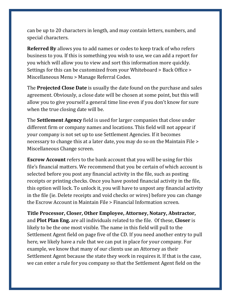can be up to 20 characters in length, and may contain letters, numbers, and special characters.

**Referred By** allows you to add names or codes to keep track of who refers business to you. If this is something you wish to use, we can add a report for you which will allow you to view and sort this information more quickly. Settings for this can be customized from your Whiteboard > Back Office > Miscellaneous Menu > Manage Referral Codes.

The **Projected Close Date** is usually the date found on the purchase and sales agreement. Obviously, a close date will be chosen at some point, but this will allow you to give yourself a general time line even if you don't know for sure when the true closing date will be.

The **Settlement Agency** field is used for larger companies that close under different firm or company names and locations. This field will not appear if your company is not set up to use Settlement Agencies. If it becomes necessary to change this at a later date, you may do so on the Maintain File > Miscellaneous Change screen.

**Escrow Account** refers to the bank account that you will be using for this file's financial matters. We recommend that you be certain of which account is selected before you post any financial activity in the file, such as posting receipts or printing checks. Once you have posted financial activity in the file, this option will lock. To unlock it, you will have to unpost any financial activity in the file (ie. Delete receipts and void checks or wires) before you can change the Escrow Account in Maintain File > Financial Information screen.

**Title Processor, Closer, Other Employee, Attorney, Notary, Abstractor,**  and **Plot Plan Eng.** are all individuals related to the file. Of these, **Closer** is likely to be the one most visible. The name in this field will pull to the Settlement Agent field on page five of the CD. If you need another entry to pull here, we likely have a rule that we can put in place for your company. For example, we know that many of our clients use an Attorney as their Settlement Agent because the state they work in requires it. If that is the case, we can enter a rule for you company so that the Settlement Agent field on the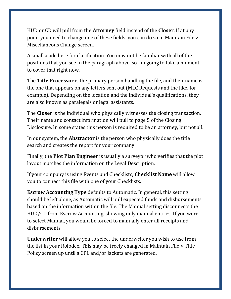HUD or CD will pull from the **Attorney** field instead of the **Closer**. If at any point you need to change one of these fields, you can do so in Maintain File > Miscellaneous Change screen.

A small aside here for clarification. You may not be familiar with all of the positions that you see in the paragraph above, so I'm going to take a moment to cover that right now.

The **Title Processor** is the primary person handling the file, and their name is the one that appears on any letters sent out (MLC Requests and the like, for example). Depending on the location and the individual's qualifications, they are also known as paralegals or legal assistants.

The **Closer** is the individual who physically witnesses the closing transaction. Their name and contact information will pull to page 5 of the Closing Disclosure. In some states this person is required to be an attorney, but not all.

In our system, the **Abstractor** is the person who physically does the title search and creates the report for your company.

Finally, the **Plot Plan Engineer** is usually a surveyor who verifies that the plot layout matches the information on the Legal Description.

If your company is using Events and Checklists, **Checklist Name** will allow you to connect this file with one of your Checklists.

**Escrow Accounting Type** defaults to Automatic. In general, this setting should be left alone, as Automatic will pull expected funds and disbursements based on the information within the file. The Manual setting disconnects the HUD/CD from Escrow Accounting, showing only manual entries. If you were to select Manual, you would be forced to manually enter all receipts and disbursements.

**Underwriter** will allow you to select the underwriter you wish to use from the list in your Rolodex. This may be freely changed in Maintain File > Title Policy screen up until a CPL and/or jackets are generated.